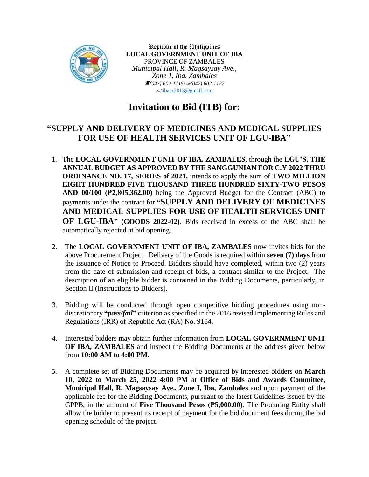

Republic of the Philippines **LOCAL GOVERNMENT UNIT OF IBA** PROVINCE OF ZAMBALES *Municipal Hall, R. Magsaysay Ave., Zone 1, Iba, Zambales (047) 602-1115/(047) 602-1122*  $\sqrt{\frac{1}{2}}$ [ibasz2013@gmail.com](mailto:ibasz2013@gmail.com)

# **Invitation to Bid (ITB) for:**

# **"SUPPLY AND DELIVERY OF MEDICINES AND MEDICAL SUPPLIES FOR USE OF HEALTH SERVICES UNIT OF LGU-IBA"**

- 1. The **LOCAL GOVERNMENT UNIT OF IBA, ZAMBALES**, through the **LGU'S, THE ANNUAL BUDGET AS APPROVED BY THE SANGGUNIAN FOR C.Y 2022 THRU ORDINANCE NO. 17, SERIES of 2021,** intends to apply the sum of **TWO MILLION EIGHT HUNDRED FIVE THOUSAND THREE HUNDRED SIXTY-TWO PESOS AND 00/100 (₱2,805,362.00)** being the Approved Budget for the Contract (ABC) to payments under the contract for **"SUPPLY AND DELIVERY OF MEDICINES AND MEDICAL SUPPLIES FOR USE OF HEALTH SERVICES UNIT OF LGU-IBA" (GOODS 2022-02)**. Bids received in excess of the ABC shall be automatically rejected at bid opening.
- 2. The **LOCAL GOVERNMENT UNIT OF IBA, ZAMBALES** now invites bids for the above Procurement Project. Delivery of the Goods is required within **seven (7) days** from the issuance of Notice to Proceed. Bidders should have completed, within two (2) years from the date of submission and receipt of bids, a contract similar to the Project. The description of an eligible bidder is contained in the Bidding Documents, particularly, in Section II (Instructions to Bidders).
- 3. Bidding will be conducted through open competitive bidding procedures using nondiscretionary **"***pass/fail***"** criterion as specified in the 2016 revised Implementing Rules and Regulations (IRR) of Republic Act (RA) No. 9184.
- 4. Interested bidders may obtain further information from **LOCAL GOVERNMENT UNIT OF IBA, ZAMBALES** and inspect the Bidding Documents at the address given below from **10:00 AM to 4:00 PM.**
- 5. A complete set of Bidding Documents may be acquired by interested bidders on **March 10, 2022 to March 25, 2022 4:00 PM** at **Office of Bids and Awards Committee, Municipal Hall, R. Magsaysay Ave., Zone I, Iba, Zambales** and upon payment of the applicable fee for the Bidding Documents, pursuant to the latest Guidelines issued by the GPPB, in the amount of **Five Thousand Pesos (₱5,000.00)**. The Procuring Entity shall allow the bidder to present its receipt of payment for the bid document fees during the bid opening schedule of the project.